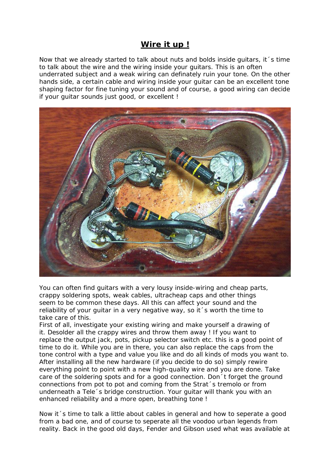## **Wire it up !**

Now that we already started to talk about nuts and bolds inside guitars, it´s time to talk about the wire and the wiring inside your guitars. This is an often underrated subject and a weak wiring can definately ruin your tone. On the other hands side, a certain cable and wiring inside your guitar can be an excellent tone shaping factor for fine tuning your sound and of course, a good wiring can decide if your guitar sounds just good, or excellent !



You can often find guitars with a very lousy inside-wiring and cheap parts, crappy soldering spots, weak cables, ultracheap caps and other things seem to be common these days. All this can affect your sound and the reliability of your guitar in a very negative way, so it´s worth the time to take care of this.

First of all, investigate your existing wiring and make yourself a drawing of it. Desolder all the crappy wires and throw them away ! If you want to replace the output jack, pots, pickup selector switch etc. this is a good point of time to do it. While you are in there, you can also replace the caps from the tone control with a type and value you like and do all kinds of mods you want to. After installing all the new hardware (if you decide to do so) simply rewire everything point to point with a new high-quality wire and you are done. Take care of the soldering spots and for a good connection. Don´t forget the ground connections from pot to pot and coming from the Strat´s tremolo or from underneath a Tele´s bridge construction. Your guitar will thank you with an enhanced reliability and a more open, breathing tone !

Now it´s time to talk a little about cables in general and how to seperate a good from a bad one, and of course to seperate all the voodoo urban legends from reality. Back in the good old days, Fender and Gibson used what was available at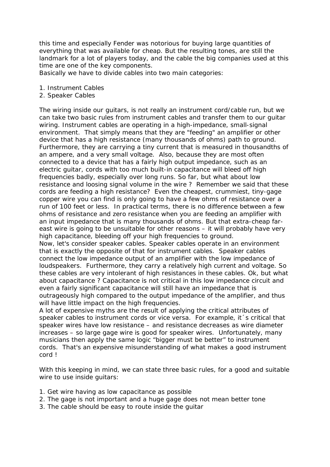this time and especially Fender was notorious for buying large quantities of everything that was available for cheap. But the resulting tones, are still the landmark for a lot of players today, and the cable the big companies used at this time are one of the key components.

Basically we have to divide cables into two main categories:

- 1. Instrument Cables
- 2. Speaker Cables

The wiring inside our guitars, is not really an instrument cord/cable run, but we can take two basic rules from instrument cables and transfer them to our guitar wiring. Instrument cables are operating in a high-impedance, small-signal environment. That simply means that they are "feeding" an amplifier or other device that has a high resistance (many thousands of ohms) path to ground. Furthermore, they are carrying a tiny current that is measured in thousandths of an ampere, and a very small voltage. Also, because they are most often connected to a device that has a fairly high output impedance, such as an electric guitar, cords with too much built-in capacitance will bleed off high frequencies badly, especially over long runs. So far, but what about low resistance and loosing signal volume in the wire ? Remember we said that these cords are feeding a high resistance? Even the cheapest, crummiest, tiny-gage copper wire you can find is only going to have a few ohms of resistance over a run of 100 feet or less. In practical terms, there is no difference between a few ohms of resistance and zero resistance when you are feeding an amplifier with an input impedance that is many thousands of ohms. But that extra-cheap fareast wire is going to be unsuitable for other reasons – it will probably have very high capacitance, bleeding off your high frequencies to ground. Now, let's consider speaker cables. Speaker cables operate in an environment that is exactly the opposite of that for instrument cables. Speaker cables connect the low impedance output of an amplifier with the low impedance of

loudspeakers. Furthermore, they carry a relatively high current and voltage. So these cables are very intolerant of high resistances in these cables. Ok, but what about capacitance ? Capacitance is not critical in this low impedance circuit and even a fairly significant capacitance will still have an impedance that is outrageously high compared to the output impedance of the amplifier, and thus will have little impact on the high frequencies.

A lot of expensive myths are the result of applying the critical attributes of speaker cables to instrument cords or vice versa. For example, it  $\epsilon$  critical that speaker wires have low resistance – and resistance decreases as wire diameter increases – so large gage wire is good for speaker wires. Unfortunately, many musicians then apply the same logic "bigger must be better" to instrument cords. That's an expensive misunderstanding of what makes a good instrument cord !

With this keeping in mind, we can state three basic rules, for a good and suitable wire to use inside guitars:

- 1. Get wire having as low capacitance as possible
- 2. The gage is not important and a huge gage does not mean better tone
- 3. The cable should be easy to route inside the guitar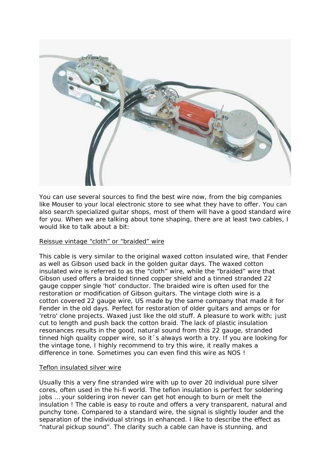

You can use several sources to find the best wire now, from the big companies like Mouser to your local electronic store to see what they have to offer. You can also search specialized guitar shops, most of them will have a good standard wire for you. When we are talking about tone shaping, there are at least two cables, I would like to talk about a bit:

## Reissue vintage "cloth" or "braided" wire

This cable is very similar to the original waxed cotton insulated wire, that Fender as well as Gibson used back in the golden guitar days. The waxed cotton insulated wire is referred to as the "cloth" wire, while the "braided" wire that Gibson used offers a braided tinned copper shield and a tinned stranded 22 gauge copper single 'hot' conductor. The braided wire is often used for the restoration or modification of Gibson guitars. The vintage cloth wire is a cotton covered 22 gauge wire, US made by the same company that made it for Fender in the old days. Perfect for restoration of older guitars and amps or for 'retro' clone projects. Waxed just like the old stuff. A pleasure to work with; just cut to length and push back the cotton braid. The lack of plastic insulation resonances results in the good, natural sound from this 22 gauge, stranded tinned high quality copper wire, so it´s always worth a try. If you are looking for the vintage tone, I highly recommend to try this wire, it really makes a difference in tone. Sometimes you can even find this wire as NOS !

## Teflon insulated silver wire

Usually this a very fine stranded wire with up to over 20 individual pure silver cores, often used in the hi-fi world. The teflon insulation is perfect for soldering jobs … your soldering iron never can get hot enough to burn or melt the insulation ! The cable is easy to route and offers a very transparent, natural and punchy tone. Compared to a standard wire, the signal is slightly louder and the separation of the individual strings in enhanced. I like to describe the effect as "natural pickup sound". The clarity such a cable can have is stunning, and